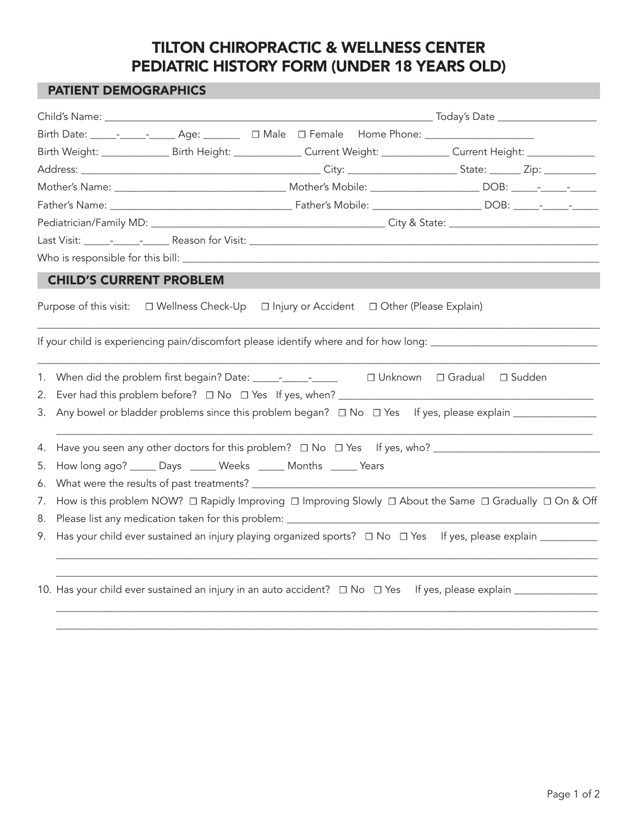## TILTON CHIROPRACTIC & WELLNESS CENTER PEDIATRIC HISTORY FORM (UNDER 18 YEARS OLD)

## PATIENT DEMOGRAPHICS

|    |                                                                                                                |                                            |                                               | Birth Weight: ________________ Birth Height: _______________ Current Weight: ______________ Current Height: ______________ |  |
|----|----------------------------------------------------------------------------------------------------------------|--------------------------------------------|-----------------------------------------------|----------------------------------------------------------------------------------------------------------------------------|--|
|    |                                                                                                                |                                            |                                               |                                                                                                                            |  |
|    |                                                                                                                |                                            |                                               |                                                                                                                            |  |
|    |                                                                                                                |                                            |                                               |                                                                                                                            |  |
|    |                                                                                                                |                                            |                                               |                                                                                                                            |  |
|    |                                                                                                                |                                            |                                               |                                                                                                                            |  |
|    |                                                                                                                |                                            |                                               |                                                                                                                            |  |
|    |                                                                                                                | <b>CHILD'S CURRENT PROBLEM</b>             |                                               |                                                                                                                            |  |
|    |                                                                                                                | Purpose of this visit: □ Wellness Check-Up | □ Injury or Accident □ Other (Please Explain) |                                                                                                                            |  |
|    |                                                                                                                |                                            |                                               | If your child is experiencing pain/discomfort please identify where and for how long: ________________________             |  |
| 1. | $\Box$ Unknown $\Box$ Gradual $\Box$ Sudden                                                                    |                                            |                                               |                                                                                                                            |  |
| 2. |                                                                                                                |                                            |                                               |                                                                                                                            |  |
| 3. |                                                                                                                |                                            |                                               |                                                                                                                            |  |
| 4. |                                                                                                                |                                            |                                               |                                                                                                                            |  |
| 5. | How long ago? ______ Days ______ Weeks ______ Months ______ Years                                              |                                            |                                               |                                                                                                                            |  |
| 6. |                                                                                                                |                                            |                                               |                                                                                                                            |  |
| 7. | How is this problem NOW? □ Rapidly Improving □ Improving Slowly □ About the Same □ Gradually □ On & Off        |                                            |                                               |                                                                                                                            |  |
| 8. | Please list any medication taken for this problem: _____________________________                               |                                            |                                               |                                                                                                                            |  |
| 9. | Has your child ever sustained an injury playing organized sports? □ No □ Yes If yes, please explain __________ |                                            |                                               |                                                                                                                            |  |
|    |                                                                                                                |                                            |                                               |                                                                                                                            |  |
|    |                                                                                                                |                                            |                                               |                                                                                                                            |  |

\_\_\_\_\_\_\_\_\_\_\_\_\_\_\_\_\_\_\_\_\_\_\_\_\_\_\_\_\_\_\_\_\_\_\_\_\_\_\_\_\_\_\_\_\_\_\_\_\_\_\_\_\_\_\_\_\_\_\_\_\_\_\_\_\_\_\_\_\_\_\_\_\_\_\_\_\_\_\_\_\_\_\_\_\_\_\_\_\_\_\_\_\_\_\_\_\_\_\_\_\_\_\_\_